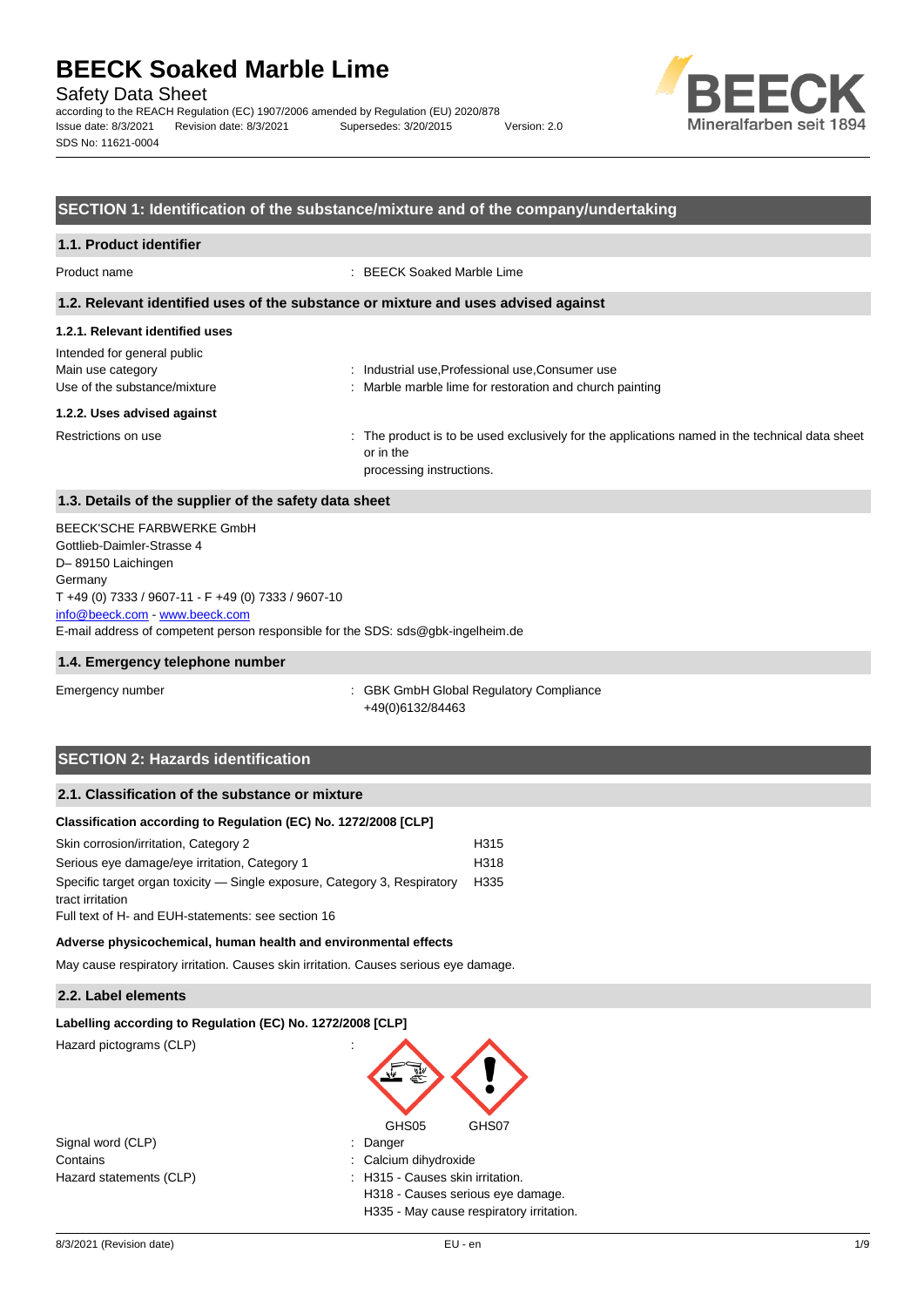Safety Data Sheet

according to the REACH Regulation (EC) 1907/2006 amended by Regulation (EU) 2020/878 Issue date: 8/3/2021 Revision date: 8/3/2021 Supersedes: 3/20/2015 Version: 2.0 SDS No: 11621-0004



#### **SECTION 1: Identification of the substance/mixture and of the company/undertaking**

#### **1.1. Product identifier**

Product name : BEECK Soaked Marble Lime

#### **1.2. Relevant identified uses of the substance or mixture and uses advised against**

#### **1.2.1. Relevant identified uses**

| Intended for general public<br>Main use category<br>Use of the substance/mixture | : Industrial use, Professional use, Consumer use<br>: Marble marble lime for restoration and church painting                            |
|----------------------------------------------------------------------------------|-----------------------------------------------------------------------------------------------------------------------------------------|
| 1.2.2. Uses advised against                                                      |                                                                                                                                         |
| Restrictions on use                                                              | : The product is to be used exclusively for the applications named in the technical data sheet<br>or in the<br>processing instructions. |

#### **1.3. Details of the supplier of the safety data sheet**

E-mail address of competent person responsible for the SDS: sds@gbk-ingelheim.de BEECK'SCHE FARBWERKE GmbH Gottlieb-Daimler-Strasse 4 D– 89150 Laichingen **Germany** T +49 (0) 7333 / 9607-11 - F +49 (0) 7333 / 9607-10 [info@beeck.com](mailto:info@beeck.com) - [www.beeck.com](http://www.beeck.com/)

#### **1.4. Emergency telephone number**

Emergency number : GBK GmbH Global Regulatory Compliance +49(0)6132/84463

## **SECTION 2: Hazards identification**

## **2.1. Classification of the substance or mixture**

#### **Classification according to Regulation (EC) No. 1272/2008 [CLP]**

| Skin corrosion/irritation, Category 2                                     | H315 |
|---------------------------------------------------------------------------|------|
| Serious eye damage/eye irritation, Category 1                             | H318 |
| Specific target organ toxicity — Single exposure, Category 3, Respiratory | H335 |
| tract irritation                                                          |      |
| Full text of H- and EUH-statements: see section 16                        |      |

#### **Adverse physicochemical, human health and environmental effects**

May cause respiratory irritation. Causes skin irritation. Causes serious eye damage.

#### **2.2. Label elements**

#### **Labelling according to Regulation (EC) No. 1272/2008 [CLP]**

Hazard pictograms (CLP) :

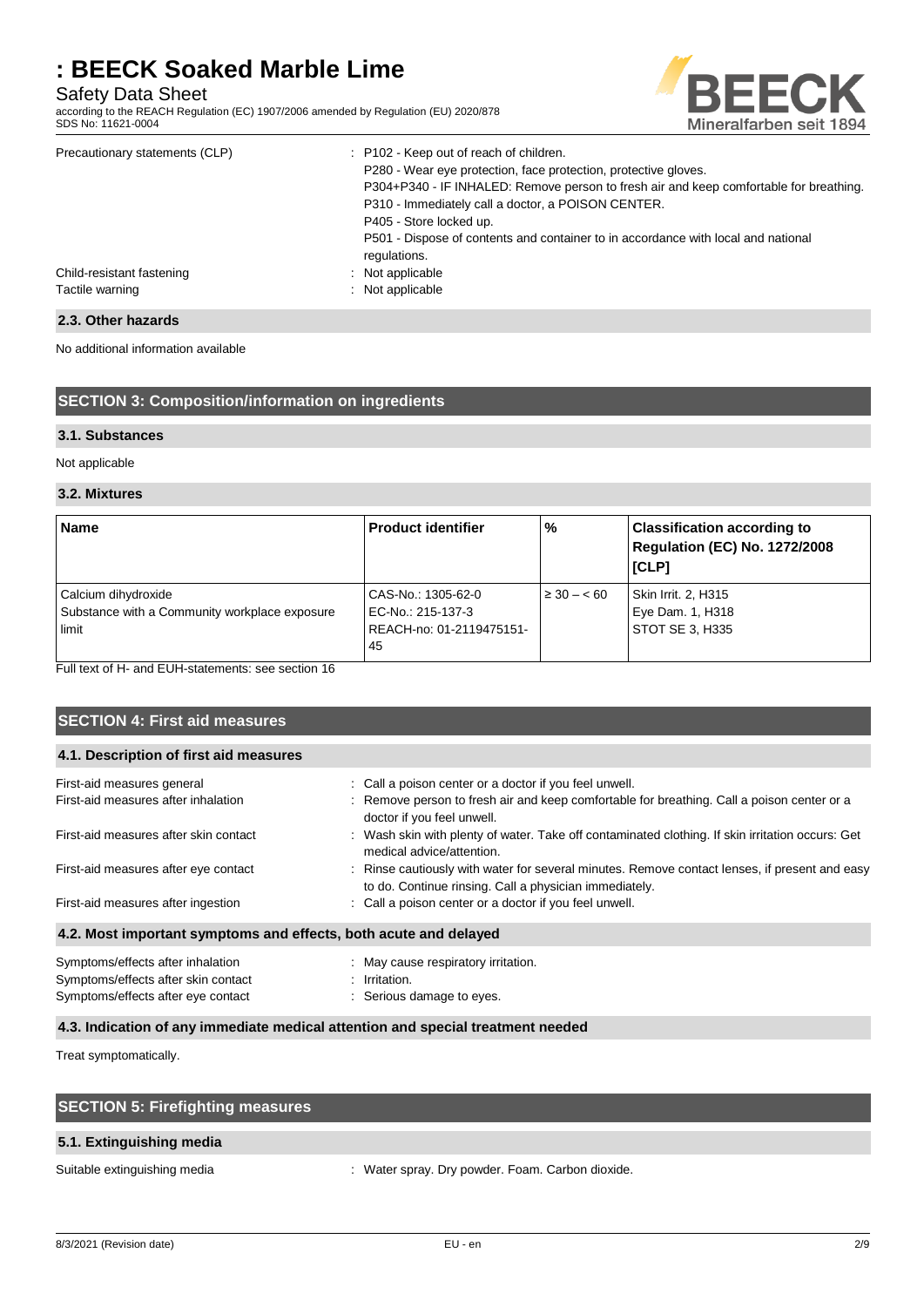Safety Data Sheet

according to the REACH Regulation (EC) 1907/2006 amended by Regulation (EU) 2020/878 SDS No: 11621-0004



| Precautionary statements (CLP)               | : P102 - Keep out of reach of children.<br>P280 - Wear eye protection, face protection, protective gloves.<br>P304+P340 - IF INHALED: Remove person to fresh air and keep comfortable for breathing.<br>P310 - Immediately call a doctor, a POISON CENTER.<br>P405 - Store locked up. |
|----------------------------------------------|---------------------------------------------------------------------------------------------------------------------------------------------------------------------------------------------------------------------------------------------------------------------------------------|
| Child-resistant fastening<br>Tactile warning | P501 - Dispose of contents and container to in accordance with local and national<br>regulations.<br>: Not applicable<br>: Not applicable                                                                                                                                             |

## **2.3. Other hazards**

No additional information available

## **SECTION 3: Composition/information on ingredients**

#### **3.1. Substances**

Not applicable

#### **3.2. Mixtures**

| <b>Name</b>                                                                   | <b>Product identifier</b>                                                 | %              | <b>Classification according to</b><br>Regulation (EC) No. 1272/2008<br><b>ICLPI</b> |
|-------------------------------------------------------------------------------|---------------------------------------------------------------------------|----------------|-------------------------------------------------------------------------------------|
| Calcium dihydroxide<br>Substance with a Community workplace exposure<br>limit | CAS-No.: 1305-62-0<br>EC-No.: 215-137-3<br>REACH-no: 01-2119475151-<br>45 | $\geq 30 - 60$ | Skin Irrit. 2, H315<br>Eye Dam. 1, H318<br>STOT SE 3, H335                          |

Full text of H- and EUH-statements: see section 16

| <b>SECTION 4: First aid measures</b>                                                                           |                                                                                                                                                         |
|----------------------------------------------------------------------------------------------------------------|---------------------------------------------------------------------------------------------------------------------------------------------------------|
| 4.1. Description of first aid measures                                                                         |                                                                                                                                                         |
| First-aid measures general                                                                                     | : Call a poison center or a doctor if you feel unwell.                                                                                                  |
| First-aid measures after inhalation                                                                            | : Remove person to fresh air and keep comfortable for breathing. Call a poison center or a<br>doctor if you feel unwell.                                |
| First-aid measures after skin contact                                                                          | : Wash skin with plenty of water. Take off contaminated clothing. If skin irritation occurs: Get<br>medical advice/attention.                           |
| First-aid measures after eye contact                                                                           | : Rinse cautiously with water for several minutes. Remove contact lenses, if present and easy<br>to do. Continue rinsing. Call a physician immediately. |
| First-aid measures after ingestion                                                                             | : Call a poison center or a doctor if you feel unwell.                                                                                                  |
| 4.2. Most important symptoms and effects, both acute and delayed                                               |                                                                                                                                                         |
| Symptoms/effects after inhalation<br>Symptoms/effects after skin contact<br>Symptoms/effects after eye contact | : May cause respiratory irritation.<br>: Irritation.<br>Serious damage to eyes.                                                                         |

#### **4.3. Indication of any immediate medical attention and special treatment needed**

Treat symptomatically.

| <b>SECTION 5: Firefighting measures</b> |                                                  |
|-----------------------------------------|--------------------------------------------------|
| 5.1. Extinguishing media                |                                                  |
| Suitable extinguishing media            | : Water spray. Dry powder. Foam. Carbon dioxide. |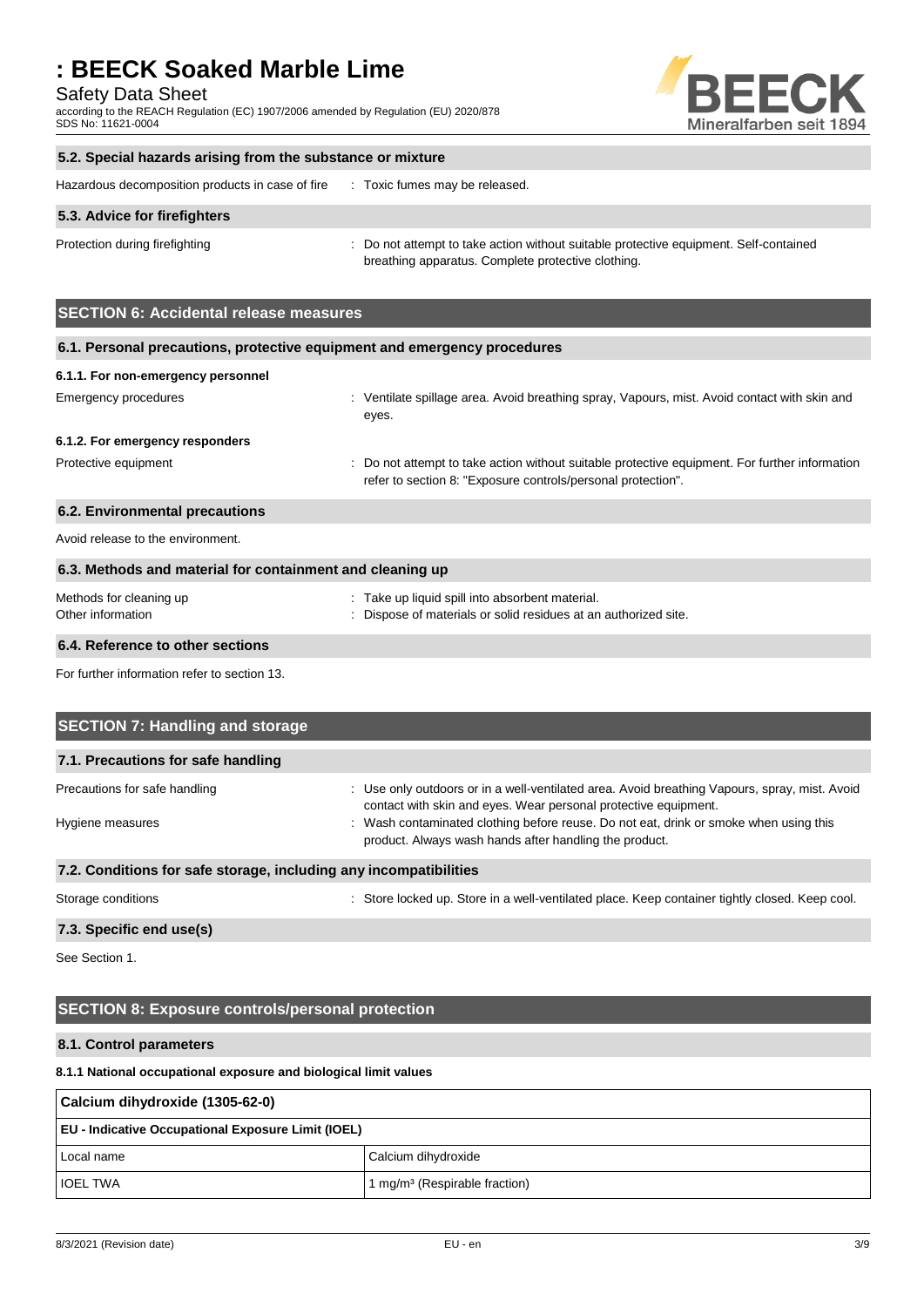Safety Data Sheet

according to the REACH Regulation (EC) 1907/2006 amended by Regulation (EU) 2020/878 SDS No: 11621-0004



#### **5.2. Special hazards arising from the substance or mixture**

| Hazardous decomposition products in case of fire |  | Toxic fumes may be released. |
|--------------------------------------------------|--|------------------------------|
|--------------------------------------------------|--|------------------------------|

#### **5.3. Advice for firefighters**

Protection during firefighting **intervaluance**: Do not attempt to take action without suitable protective equipment. Self-contained breathing apparatus. Complete protective clothing.

## **SECTION 6: Accidental release measures**

| 6.1. Personal precautions, protective equipment and emergency procedures |                                                                                                                                                                |  |  |  |
|--------------------------------------------------------------------------|----------------------------------------------------------------------------------------------------------------------------------------------------------------|--|--|--|
| 6.1.1. For non-emergency personnel                                       |                                                                                                                                                                |  |  |  |
| Emergency procedures                                                     | : Ventilate spillage area. Avoid breathing spray, Vapours, mist. Avoid contact with skin and<br>eyes.                                                          |  |  |  |
| 6.1.2. For emergency responders                                          |                                                                                                                                                                |  |  |  |
| Protective equipment                                                     | : Do not attempt to take action without suitable protective equipment. For further information<br>refer to section 8: "Exposure controls/personal protection". |  |  |  |
| 6.2. Environmental precautions                                           |                                                                                                                                                                |  |  |  |
| Avoid release to the environment.                                        |                                                                                                                                                                |  |  |  |
| 6.3. Methods and material for containment and cleaning up                |                                                                                                                                                                |  |  |  |
| Methods for cleaning up<br>Other information                             | : Take up liquid spill into absorbent material.<br>: Dispose of materials or solid residues at an authorized site.                                             |  |  |  |

## **6.4. Reference to other sections**

For further information refer to section 13.

| <b>SECTION 7: Handling and storage</b>                            |                                                                                                                                                                  |  |
|-------------------------------------------------------------------|------------------------------------------------------------------------------------------------------------------------------------------------------------------|--|
| 7.1. Precautions for safe handling                                |                                                                                                                                                                  |  |
| Precautions for safe handling                                     | : Use only outdoors or in a well-ventilated area. Avoid breathing Vapours, spray, mist. Avoid<br>contact with skin and eyes. Wear personal protective equipment. |  |
| Hygiene measures                                                  | : Wash contaminated clothing before reuse. Do not eat, drink or smoke when using this<br>product. Always wash hands after handling the product.                  |  |
| 7.2. Conditions for safe storage, including any incompatibilities |                                                                                                                                                                  |  |
| Storage conditions                                                | : Store locked up. Store in a well-ventilated place. Keep container tightly closed. Keep cool.                                                                   |  |

#### **7.3. Specific end use(s)**

See Section 1.

## **SECTION 8: Exposure controls/personal protection**

## **8.1. Control parameters**

### **8.1.1 National occupational exposure and biological limit values**

| Calcium dihydroxide (1305-62-0)                           |                                           |  |
|-----------------------------------------------------------|-------------------------------------------|--|
| <b>EU - Indicative Occupational Exposure Limit (IOEL)</b> |                                           |  |
| Local name                                                | Calcium dihydroxide                       |  |
| <b>IOEL TWA</b>                                           | 1 mg/m <sup>3</sup> (Respirable fraction) |  |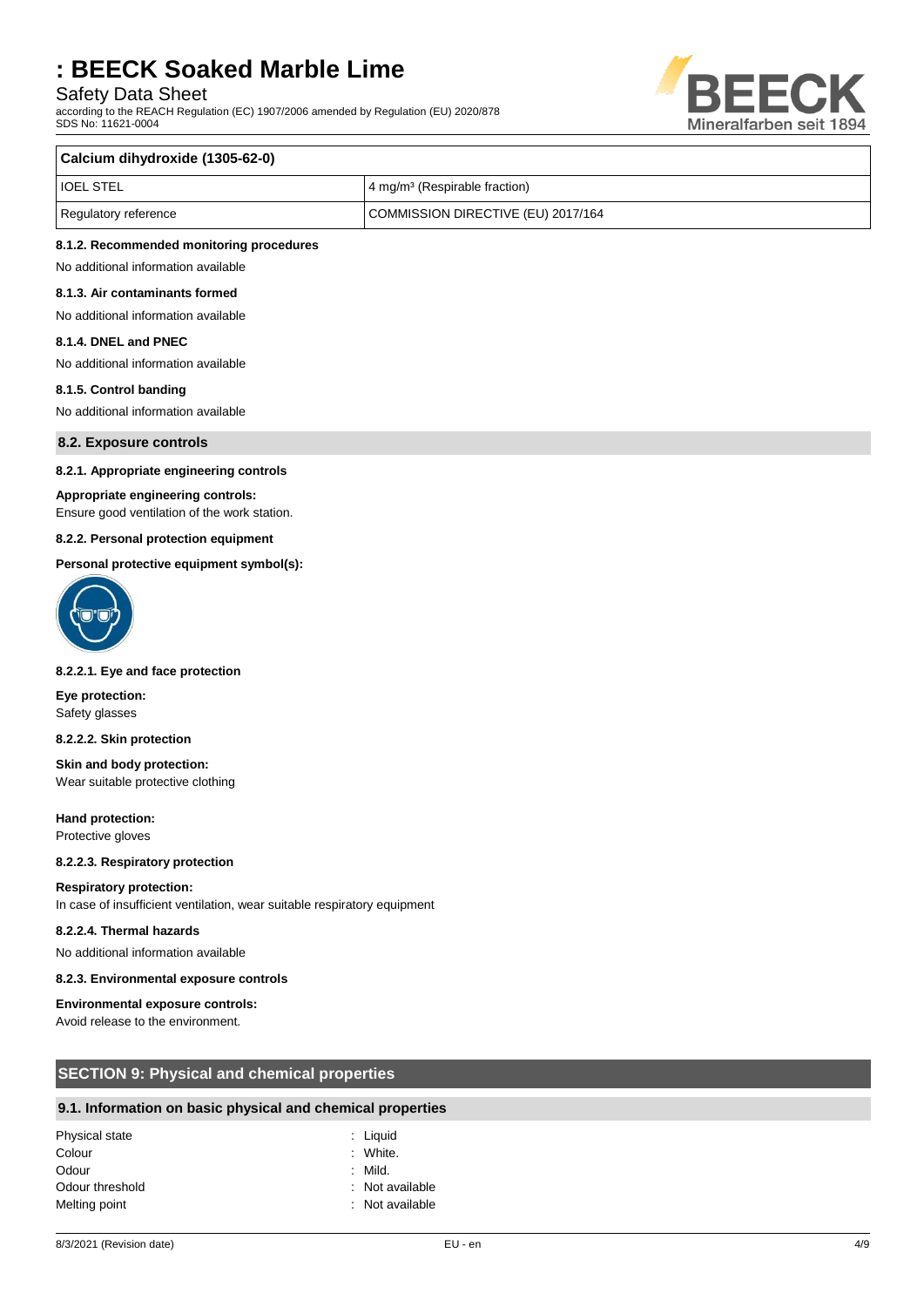## Safety Data Sheet

according to the REACH Regulation (EC) 1907/2006 amended by Regulation (EU) 2020/878 SDS No: 11621-0004



#### **Calcium dihydroxide (1305-62-0)**

| <b>IOEL STEL</b>     | 4 mg/m <sup>3</sup> (Respirable fraction) |
|----------------------|-------------------------------------------|
| Regulatory reference | COMMISSION DIRECTIVE (EU) 2017/164        |

#### **8.1.2. Recommended monitoring procedures**

No additional information available **8.1.3. Air contaminants formed**

No additional information available

#### **8.1.4. DNEL and PNEC**

No additional information available

#### **8.1.5. Control banding**

No additional information available

**8.2. Exposure controls**

#### **8.2.1. Appropriate engineering controls**

#### **Appropriate engineering controls:**

Ensure good ventilation of the work station.

#### **8.2.2. Personal protection equipment**

#### **Personal protective equipment symbol(s):**



#### **8.2.2.1. Eye and face protection**

**Eye protection:** Safety glasses

#### **8.2.2.2. Skin protection**

**Skin and body protection:** Wear suitable protective clothing

**Hand protection:** Protective gloves

#### **8.2.2.3. Respiratory protection**

#### **Respiratory protection:**

In case of insufficient ventilation, wear suitable respiratory equipment

#### **8.2.2.4. Thermal hazards**

No additional information available

#### **8.2.3. Environmental exposure controls**

#### **Environmental exposure controls:**

Avoid release to the environment.

## **SECTION 9: Physical and chemical properties**

#### **9.1. Information on basic physical and chemical properties**

| Physical state  | : Liguid        |
|-----------------|-----------------|
| Colour          | : White.        |
| Odour           | : Mild.         |
| Odour threshold | : Not available |
| Melting point   | : Not available |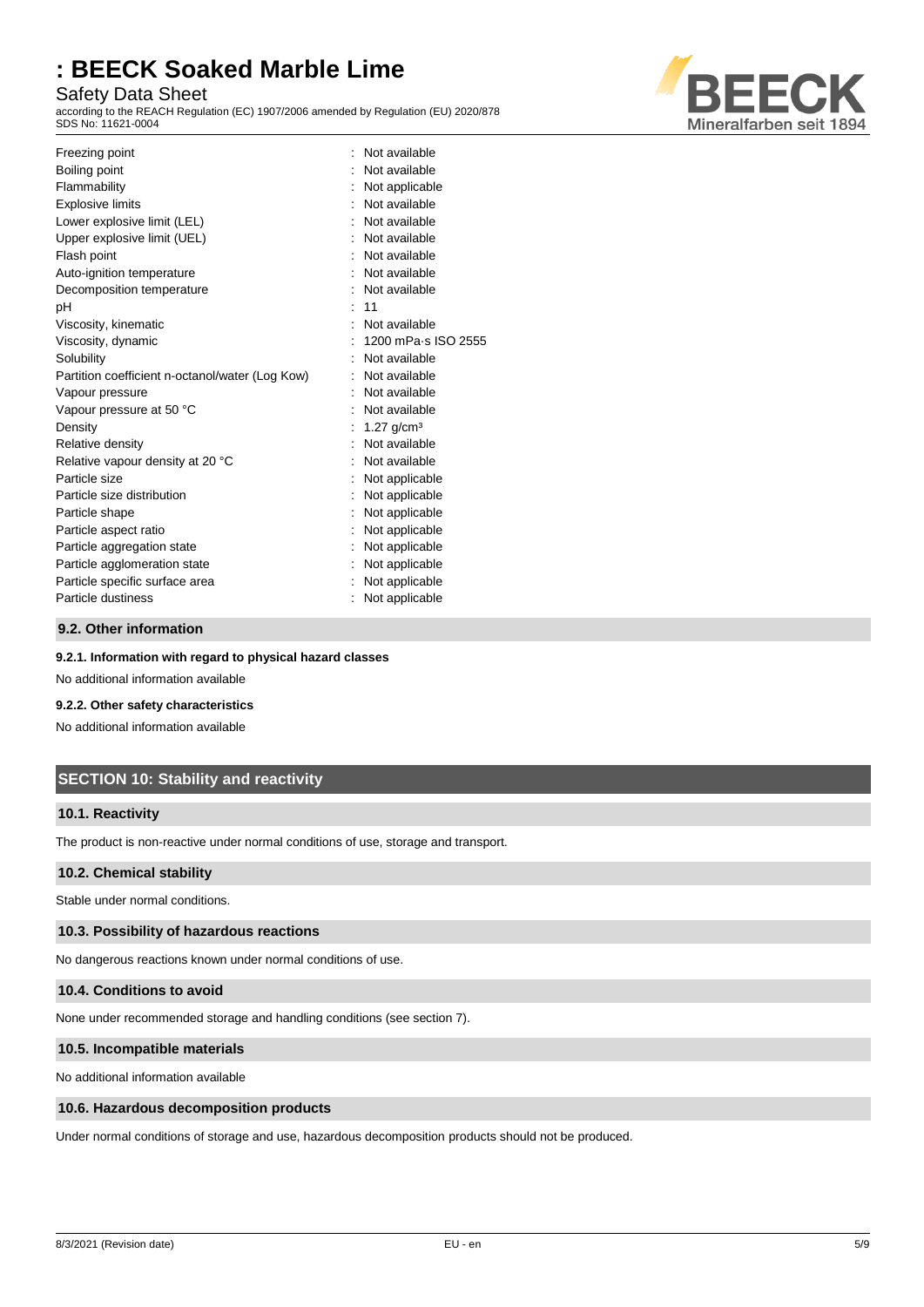## Safety Data Sheet

according to the REACH Regulation (EC) 1907/2006 amended by Regulation (EU) 2020/878 SDS No: 11621-0004



| Freezing point                                  | Not available       |
|-------------------------------------------------|---------------------|
| Boiling point                                   | Not available       |
| Flammability                                    | Not applicable      |
| <b>Explosive limits</b>                         | Not available       |
| Lower explosive limit (LEL)                     | Not available       |
| Upper explosive limit (UEL)                     | Not available       |
| Flash point                                     | Not available       |
| Auto-ignition temperature                       | Not available       |
| Decomposition temperature                       | Not available       |
| рH                                              | 11                  |
| Viscosity, kinematic                            | Not available       |
| Viscosity, dynamic                              | 1200 mPa s ISO 2555 |
| Solubility                                      | Not available       |
| Partition coefficient n-octanol/water (Log Kow) | Not available       |
| Vapour pressure                                 | Not available       |
| Vapour pressure at 50 °C                        | Not available       |
| Density                                         | 1.27 $q/cm^3$       |
| Relative density                                | Not available       |
| Relative vapour density at 20 °C                | Not available       |
| Particle size                                   | Not applicable      |
| Particle size distribution                      | Not applicable      |
| Particle shape                                  | Not applicable      |
| Particle aspect ratio                           | Not applicable      |
| Particle aggregation state                      | Not applicable      |
| Particle agglomeration state                    | Not applicable      |
| Particle specific surface area                  | Not applicable      |
| Particle dustiness                              | Not applicable      |
|                                                 |                     |

### **9.2. Other information**

#### **9.2.1. Information with regard to physical hazard classes**

No additional information available

### **9.2.2. Other safety characteristics**

No additional information available

## **SECTION 10: Stability and reactivity**

#### **10.1. Reactivity**

The product is non-reactive under normal conditions of use, storage and transport.

### **10.2. Chemical stability**

Stable under normal conditions.

#### **10.3. Possibility of hazardous reactions**

No dangerous reactions known under normal conditions of use.

#### **10.4. Conditions to avoid**

None under recommended storage and handling conditions (see section 7).

#### **10.5. Incompatible materials**

No additional information available

#### **10.6. Hazardous decomposition products**

Under normal conditions of storage and use, hazardous decomposition products should not be produced.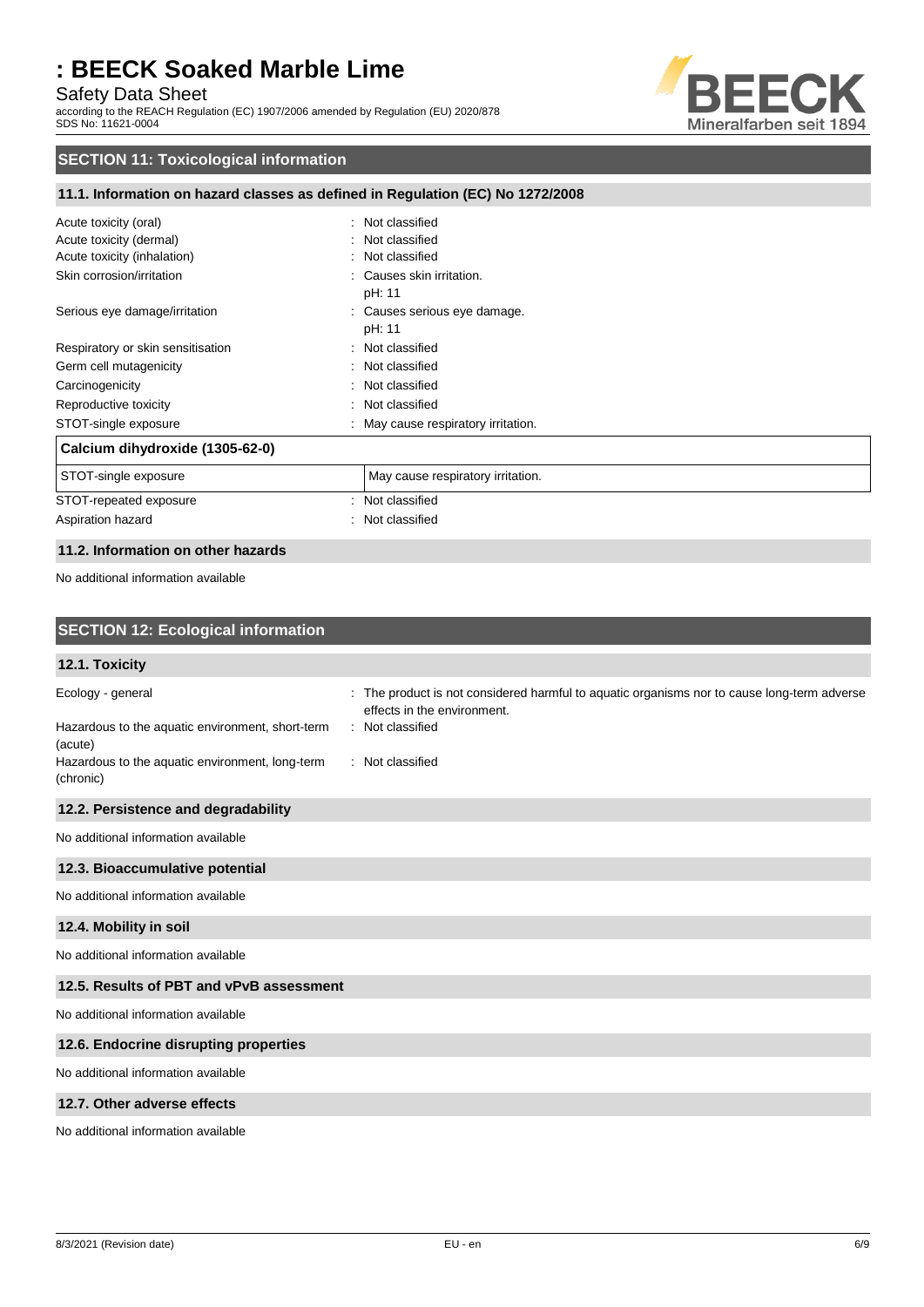Safety Data Sheet

according to the REACH Regulation (EC) 1907/2006 amended by Regulation (EU) 2020/878 SDS No: 11621-0004



## **SECTION 11: Toxicological information**

### **11.1. Information on hazard classes as defined in Regulation (EC) No 1272/2008**

| Acute toxicity (oral)             | Not classified                    |
|-----------------------------------|-----------------------------------|
| Acute toxicity (dermal)           | : Not classified                  |
| Acute toxicity (inhalation)       | : Not classified                  |
| Skin corrosion/irritation         | : Causes skin irritation.         |
|                                   | pH: 11                            |
| Serious eye damage/irritation     | : Causes serious eye damage.      |
|                                   | pH: 11                            |
| Respiratory or skin sensitisation | : Not classified                  |
| Germ cell mutagenicity            | : Not classified                  |
| Carcinogenicity<br>÷.             | Not classified                    |
| Reproductive toxicity<br>÷.       | Not classified                    |
| STOT-single exposure              | May cause respiratory irritation. |
| Calcium dihydroxide (1305-62-0)   |                                   |
| STOT-single exposure              | May cause respiratory irritation. |
| STOT-repeated exposure<br>÷       | Not classified                    |
| Aspiration hazard<br>÷            | Not classified                    |

## **11.2. Information on other hazards**

No additional information available

| <b>SECTION 12: Ecological information</b>                                                                                                        |                                                                                                                                                                    |
|--------------------------------------------------------------------------------------------------------------------------------------------------|--------------------------------------------------------------------------------------------------------------------------------------------------------------------|
| 12.1. Toxicity                                                                                                                                   |                                                                                                                                                                    |
| Ecology - general<br>Hazardous to the aquatic environment, short-term<br>(acute)<br>Hazardous to the aquatic environment, long-term<br>(chronic) | : The product is not considered harmful to aquatic organisms nor to cause long-term adverse<br>effects in the environment.<br>: Not classified<br>: Not classified |
| 12.2. Persistence and degradability                                                                                                              |                                                                                                                                                                    |
| No additional information available                                                                                                              |                                                                                                                                                                    |
| 12.3. Bioaccumulative potential                                                                                                                  |                                                                                                                                                                    |
| No additional information available                                                                                                              |                                                                                                                                                                    |
| 12.4. Mobility in soil                                                                                                                           |                                                                                                                                                                    |
| No additional information available                                                                                                              |                                                                                                                                                                    |
| 12.5. Results of PBT and vPvB assessment                                                                                                         |                                                                                                                                                                    |
| No additional information available                                                                                                              |                                                                                                                                                                    |
| 12.6. Endocrine disrupting properties                                                                                                            |                                                                                                                                                                    |
| No additional information available                                                                                                              |                                                                                                                                                                    |
| 12.7. Other adverse effects                                                                                                                      |                                                                                                                                                                    |
| No additional information available                                                                                                              |                                                                                                                                                                    |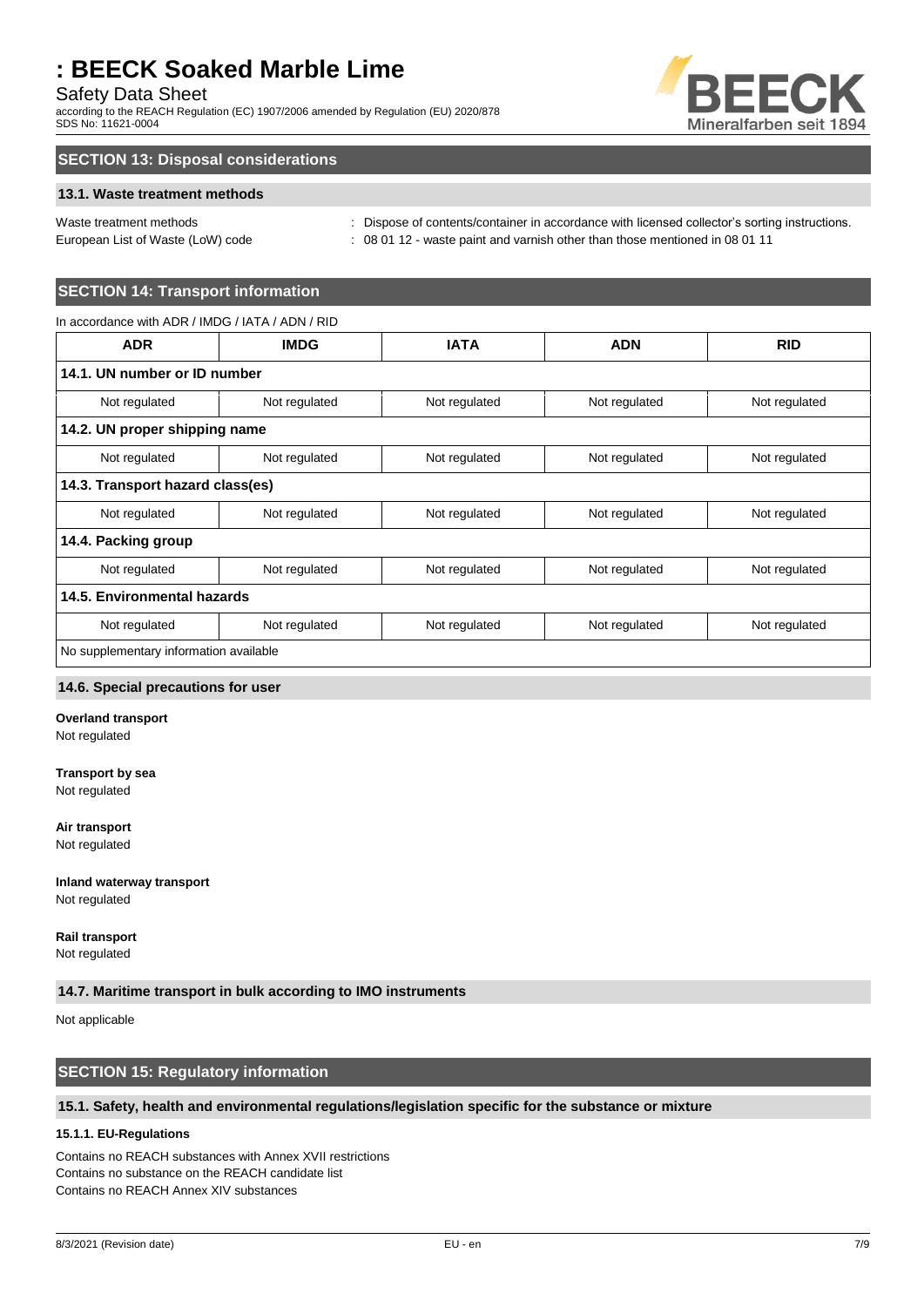## Safety Data Sheet

according to the REACH Regulation (EC) 1907/2006 amended by Regulation (EU) 2020/878 SDS No: 11621-0004



## **SECTION 13: Disposal considerations**

### **13.1. Waste treatment methods**

Waste treatment methods : Dispose of contents/container in accordance with licensed collector's sorting instructions. European List of Waste (LoW) code : 08 01 12 - waste paint and varnish other than those mentioned in 08 01 11

## **SECTION 14: Transport information**

| In accordance with ADR / IMDG / IATA / ADN / RID |               |               |               |               |
|--------------------------------------------------|---------------|---------------|---------------|---------------|
| <b>ADR</b>                                       | <b>IMDG</b>   | <b>IATA</b>   | <b>ADN</b>    | <b>RID</b>    |
| 14.1. UN number or ID number                     |               |               |               |               |
| Not regulated                                    | Not regulated | Not regulated | Not regulated | Not regulated |
| 14.2. UN proper shipping name                    |               |               |               |               |
| Not regulated                                    | Not regulated | Not regulated | Not regulated | Not regulated |
| 14.3. Transport hazard class(es)                 |               |               |               |               |
| Not regulated                                    | Not regulated | Not regulated | Not regulated | Not regulated |
| 14.4. Packing group                              |               |               |               |               |
| Not regulated                                    | Not regulated | Not regulated | Not regulated | Not regulated |
| 14.5. Environmental hazards                      |               |               |               |               |
| Not regulated                                    | Not regulated | Not regulated | Not regulated | Not regulated |
| No supplementary information available           |               |               |               |               |

#### **14.6. Special precautions for user**

#### **Overland transport**

Not regulated

#### **Transport by sea**

Not regulated

## **Air transport**

Not regulated

## **Inland waterway transport**

Not regulated

**Rail transport** Not regulated

### **14.7. Maritime transport in bulk according to IMO instruments**

Not applicable

## **SECTION 15: Regulatory information**

#### **15.1. Safety, health and environmental regulations/legislation specific for the substance or mixture**

## **15.1.1. EU-Regulations**

Contains no REACH substances with Annex XVII restrictions Contains no substance on the REACH candidate list Contains no REACH Annex XIV substances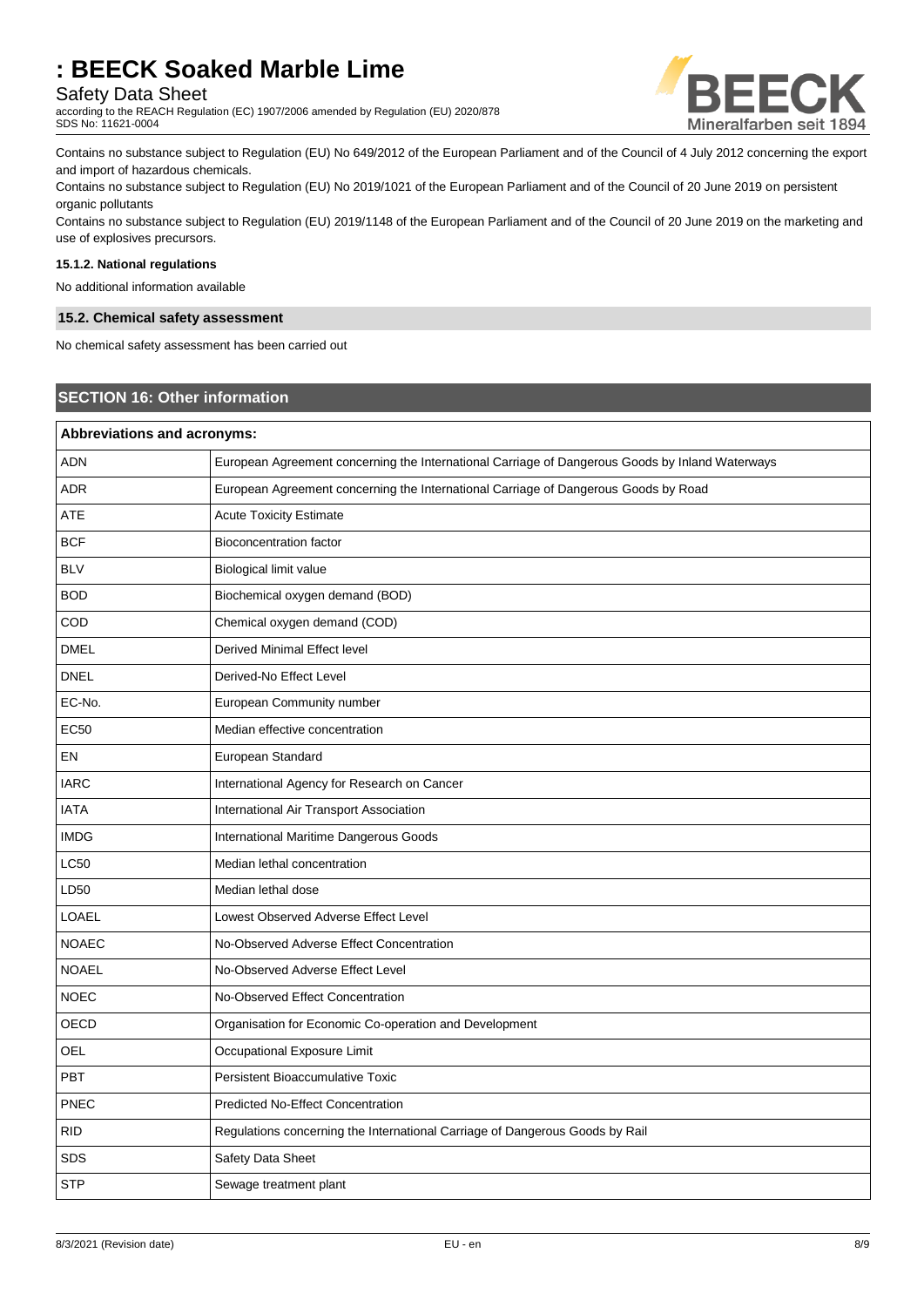## Safety Data Sheet

according to the REACH Regulation (EC) 1907/2006 amended by Regulation (EU) 2020/878 SDS No: 11621-0004



Contains no substance subject to Regulation (EU) No 649/2012 of the European Parliament and of the Council of 4 July 2012 concerning the export and import of hazardous chemicals.

Contains no substance subject to Regulation (EU) No 2019/1021 of the European Parliament and of the Council of 20 June 2019 on persistent organic pollutants

Contains no substance subject to Regulation (EU) 2019/1148 of the European Parliament and of the Council of 20 June 2019 on the marketing and use of explosives precursors.

#### **15.1.2. National regulations**

No additional information available

#### **15.2. Chemical safety assessment**

No chemical safety assessment has been carried out

## **SECTION 16: Other information**

|              | <b>Abbreviations and acronyms:</b>                                                              |  |  |
|--------------|-------------------------------------------------------------------------------------------------|--|--|
| <b>ADN</b>   | European Agreement concerning the International Carriage of Dangerous Goods by Inland Waterways |  |  |
| <b>ADR</b>   | European Agreement concerning the International Carriage of Dangerous Goods by Road             |  |  |
| ATE          | <b>Acute Toxicity Estimate</b>                                                                  |  |  |
| <b>BCF</b>   | <b>Bioconcentration factor</b>                                                                  |  |  |
| <b>BLV</b>   | Biological limit value                                                                          |  |  |
| <b>BOD</b>   | Biochemical oxygen demand (BOD)                                                                 |  |  |
| COD          | Chemical oxygen demand (COD)                                                                    |  |  |
| <b>DMEL</b>  | Derived Minimal Effect level                                                                    |  |  |
| <b>DNEL</b>  | Derived-No Effect Level                                                                         |  |  |
| EC-No.       | European Community number                                                                       |  |  |
| EC50         | Median effective concentration                                                                  |  |  |
| EN           | European Standard                                                                               |  |  |
| <b>IARC</b>  | International Agency for Research on Cancer                                                     |  |  |
| <b>IATA</b>  | International Air Transport Association                                                         |  |  |
| <b>IMDG</b>  | International Maritime Dangerous Goods                                                          |  |  |
| LC50         | Median lethal concentration                                                                     |  |  |
| LD50         | Median lethal dose                                                                              |  |  |
| LOAEL        | Lowest Observed Adverse Effect Level                                                            |  |  |
| <b>NOAEC</b> | No-Observed Adverse Effect Concentration                                                        |  |  |
| <b>NOAEL</b> | No-Observed Adverse Effect Level                                                                |  |  |
| <b>NOEC</b>  | No-Observed Effect Concentration                                                                |  |  |
| OECD         | Organisation for Economic Co-operation and Development                                          |  |  |
| OEL          | Occupational Exposure Limit                                                                     |  |  |
| <b>PBT</b>   | Persistent Bioaccumulative Toxic                                                                |  |  |
| <b>PNEC</b>  | <b>Predicted No-Effect Concentration</b>                                                        |  |  |
| <b>RID</b>   | Regulations concerning the International Carriage of Dangerous Goods by Rail                    |  |  |
| <b>SDS</b>   | Safety Data Sheet                                                                               |  |  |
| <b>STP</b>   | Sewage treatment plant                                                                          |  |  |